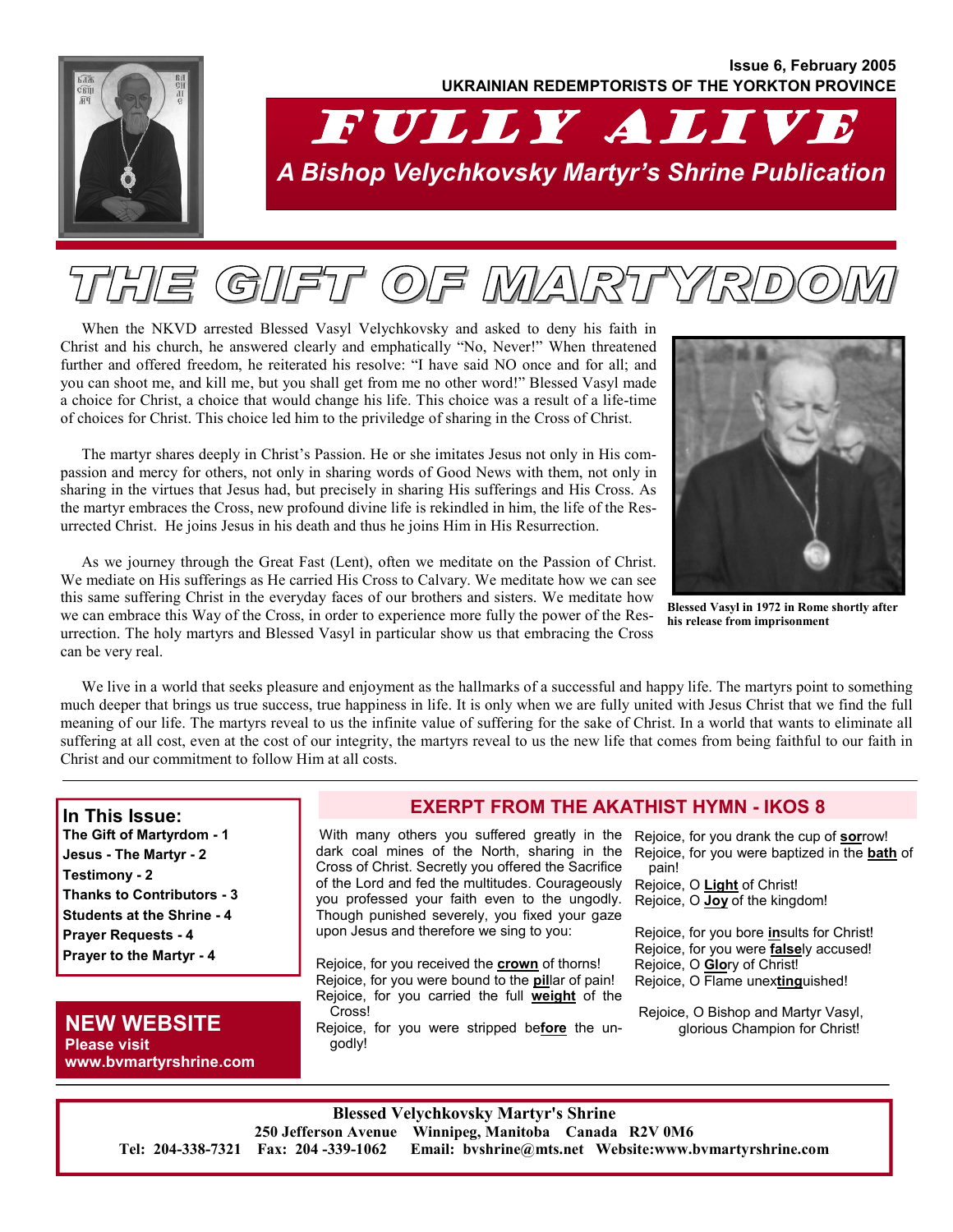## **Issue 6, February 2005 UKRAINIAN REDEMPTORISTS OF THE YORKTON PROVINCE**

# FULLY ALIVE *A Bishop Velychkovsky Martyr's Shrine Publication*

# $(G)/\sqrt{271}$  $(O)/F$

When the NKVD arrested Blessed Vasyl Velychkovsky and asked to deny his faith in Christ and his church, he answered clearly and emphatically "No, Never!" When threatened further and offered freedom, he reiterated his resolve: "I have said NO once and for all; and you can shoot me, and kill me, but you shall get from me no other word!" Blessed Vasyl made a choice for Christ, a choice that would change his life. This choice was a result of a life-time of choices for Christ. This choice led him to the priviledge of sharing in the Cross of Christ.

The martyr shares deeply in Christ's Passion. He or she imitates Jesus not only in His compassion and mercy for others, not only in sharing words of Good News with them, not only in sharing in the virtues that Jesus had, but precisely in sharing His sufferings and His Cross. As the martyr embraces the Cross, new profound divine life is rekindled in him, the life of the Resurrected Christ. He joins Jesus in his death and thus he joins Him in His Resurrection.



**Blessed Vasyl in 1972 in Rome shortly after his release from imprisonment** 

As we journey through the Great Fast (Lent), often we meditate on the Passion of Christ. We mediate on His sufferings as He carried His Cross to Calvary. We meditate how we can see this same suffering Christ in the everyday faces of our brothers and sisters. We meditate how we can embrace this Way of the Cross, in order to experience more fully the power of the Resurrection. The holy martyrs and Blessed Vasyl in particular show us that embracing the Cross can be very real.

We live in a world that seeks pleasure and enjoyment as the hallmarks of a successful and happy life. The martyrs point to something much deeper that brings us true success, true happiness in life. It is only when we are fully united with Jesus Christ that we find the full meaning of our life. The martyrs reveal to us the infinite value of suffering for the sake of Christ. In a world that wants to eliminate all suffering at all cost, even at the cost of our integrity, the martyrs reveal to us the new life that comes from being faithful to our faith in Christ and our commitment to follow Him at all costs.

#### **In This Issue:**

**The Gift of Martyrdom - 1 Jesus - The Martyr - 2 Testimony - 2 Thanks to Contributors - 3 Students at the Shrine - 4 Prayer Requests - 4 Prayer to the Martyr - 4**

## **NEW WEBSITE Please visit www.bvmartyrshrine.com**

### **EXERPT FROM THE AKATHIST HYMN - IKOS 8**

 With many others you suffered greatly in the Rejoice, for you drank the cup of **sor**row! dark coal mines of the North, sharing in the Cross of Christ. Secretly you offered the Sacrifice of the Lord and fed the multitudes. Courageously you professed your faith even to the ungodly. Though punished severely, you fixed your gaze upon Jesus and therefore we sing to you:

Rejoice, for you received the **crown** of thorns! Rejoice, for you were bound to the **pil**lar of pain! Rejoice, for you carried the full **weight** of the Cross!

Rejoice, for you were stripped be**fore** the ungodly!

Rejoice, for you were baptized in the **bath** of pain!

Rejoice, O **Light** of Christ! Rejoice, O **Joy** of the kingdom!

Rejoice, for you bore **in**sults for Christ! Rejoice, for you were **false**ly accused! Rejoice, O **Glo**ry of Christ! Rejoice, O Flame unex**ting**uished!

 Rejoice, O Bishop and Martyr Vasyl, glorious Champion for Christ!

**Blessed Velychkovsky Martyr's Shrine 250 Jefferson Avenue Winnipeg, Manitoba Canada R2V 0M6 Tel: 204-338-7321 Fax: 204 -339-1062 Email: bvshrine@mts.net Website:www.bvmartyrshrine.com**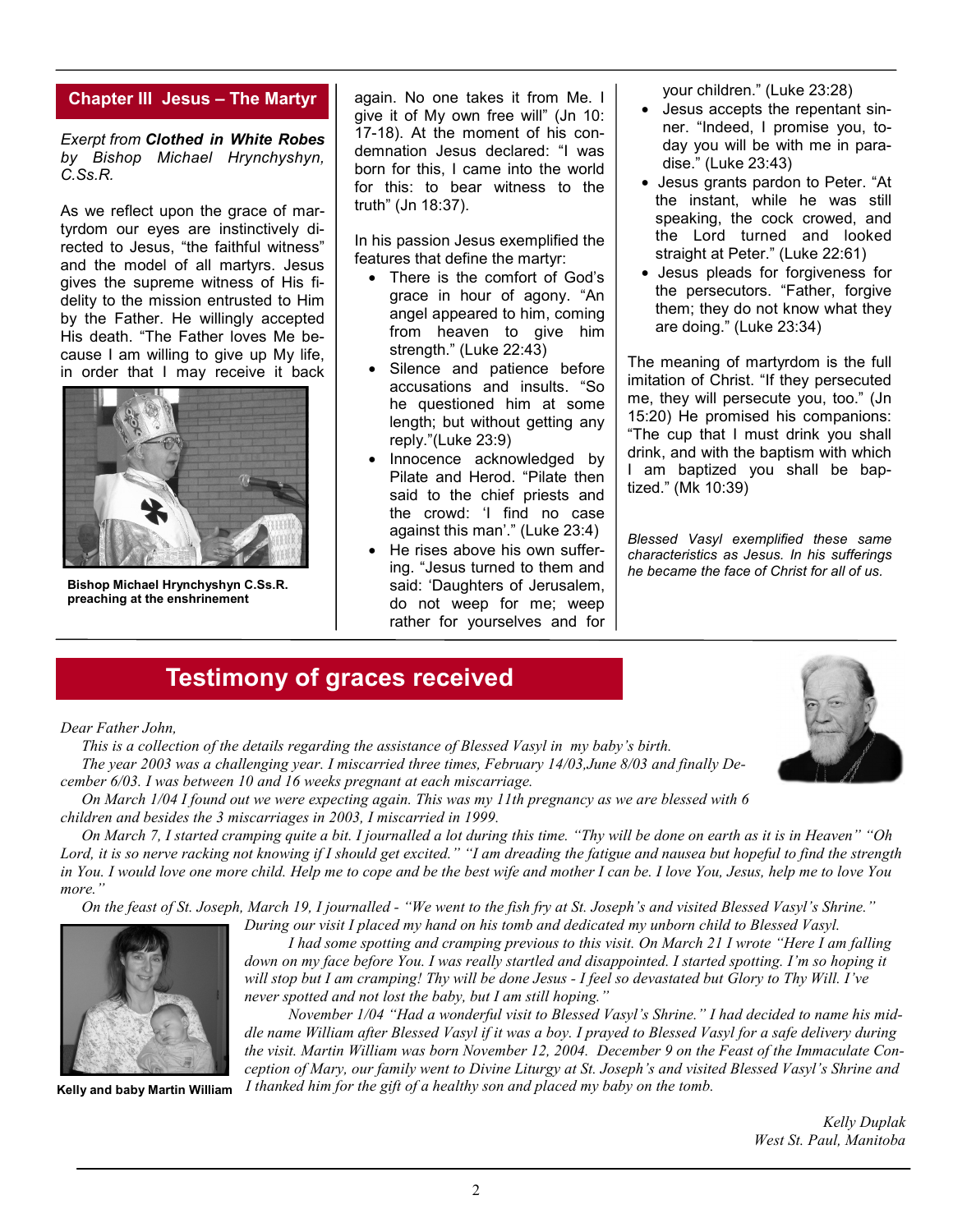#### **Chapter III Jesus – The Martyr**

*Exerpt from Clothed in White Robes by Bishop Michael Hrynchyshyn, C.Ss.R.* 

As we reflect upon the grace of martyrdom our eyes are instinctively directed to Jesus, "the faithful witness" and the model of all martyrs. Jesus gives the supreme witness of His fidelity to the mission entrusted to Him by the Father. He willingly accepted His death. "The Father loves Me because I am willing to give up My life, in order that I may receive it back



**Bishop Michael Hrynchyshyn C.Ss.R. preaching at the enshrinement** 

again. No one takes it from Me. I give it of My own free will" (Jn 10: 17-18). At the moment of his condemnation Jesus declared: "I was born for this, I came into the world for this: to bear witness to the truth" (Jn 18:37).

In his passion Jesus exemplified the features that define the martyr:

- There is the comfort of God's grace in hour of agony. "An angel appeared to him, coming from heaven to give him strength." (Luke 22:43)
- Silence and patience before accusations and insults. "So he questioned him at some length; but without getting any reply."(Luke 23:9)
- Innocence acknowledged by Pilate and Herod. "Pilate then said to the chief priests and the crowd: 'I find no case against this man'." (Luke 23:4)
- He rises above his own suffering. "Jesus turned to them and said: 'Daughters of Jerusalem, do not weep for me; weep rather for yourselves and for

your children." (Luke 23:28)

- Jesus accepts the repentant sinner. "Indeed, I promise you, today you will be with me in paradise." (Luke 23:43)
- Jesus grants pardon to Peter. "At the instant, while he was still speaking, the cock crowed, and the Lord turned and looked straight at Peter." (Luke 22:61)
- Jesus pleads for forgiveness for the persecutors. "Father, forgive them; they do not know what they are doing." (Luke 23:34)

The meaning of martyrdom is the full imitation of Christ. "If they persecuted me, they will persecute you, too." (Jn 15:20) He promised his companions: "The cup that I must drink you shall drink, and with the baptism with which I am baptized you shall be baptized." (Mk 10:39)

*Blessed Vasyl exemplified these same characteristics as Jesus. In his sufferings he became the face of Christ for all of us.* 

# **Testimony of graces received**

*Dear Father John,* 

 *This is a collection of the details regarding the assistance of Blessed Vasyl in my baby's birth. The year 2003 was a challenging year. I miscarried three times, February 14/03,June 8/03 and finally December 6/03. I was between 10 and 16 weeks pregnant at each miscarriage.* 

 *On March 1/04 I found out we were expecting again. This was my 11th pregnancy as we are blessed with 6 children and besides the 3 miscarriages in 2003, I miscarried in 1999.* 

 *On March 7, I started cramping quite a bit. I journalled a lot during this time. "Thy will be done on earth as it is in Heaven" "Oh Lord, it is so nerve racking not knowing if I should get excited." "I am dreading the fatigue and nausea but hopeful to find the strength in You. I would love one more child. Help me to cope and be the best wife and mother I can be. I love You, Jesus, help me to love You more."* 

 *On the feast of St. Joseph, March 19, I journalled - "We went to the fish fry at St. Joseph's and visited Blessed Vasyl's Shrine."* 



**Kelly and baby Martin William** 

*During our visit I placed my hand on his tomb and dedicated my unborn child to Blessed Vasyl. I had some spotting and cramping previous to this visit. On March 21 I wrote "Here I am falling down on my face before You. I was really startled and disappointed. I started spotting. I'm so hoping it will stop but I am cramping! Thy will be done Jesus - I feel so devastated but Glory to Thy Will. I've never spotted and not lost the baby, but I am still hoping."* 

 *November 1/04 "Had a wonderful visit to Blessed Vasyl's Shrine." I had decided to name his middle name William after Blessed Vasyl if it was a boy. I prayed to Blessed Vasyl for a safe delivery during the visit. Martin William was born November 12, 2004. December 9 on the Feast of the Immaculate Conception of Mary, our family went to Divine Liturgy at St. Joseph's and visited Blessed Vasyl's Shrine and I thanked him for the gift of a healthy son and placed my baby on the tomb.* 

> *Kelly Duplak West St. Paul, Manitoba*

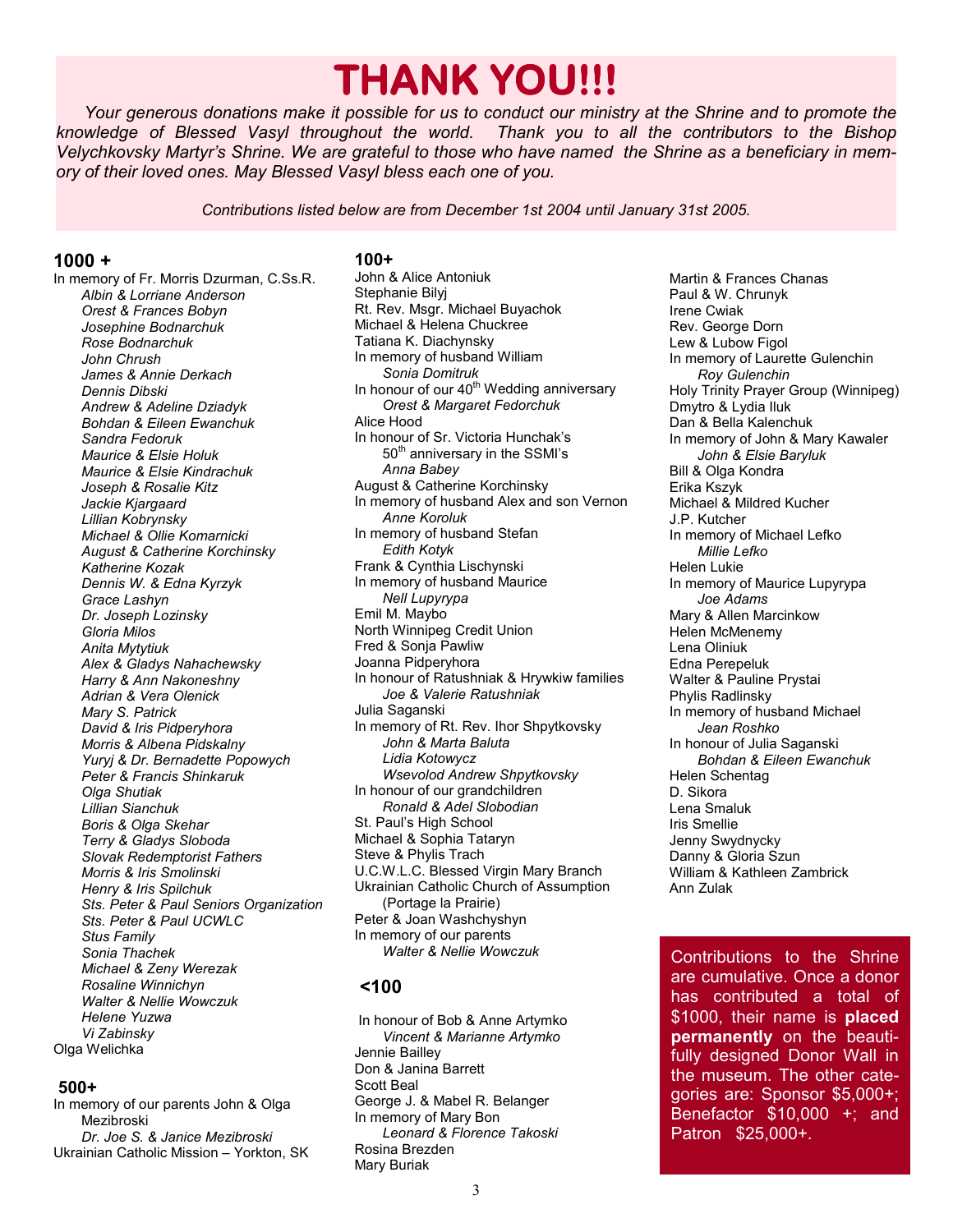# **THANK YOU!!!**

*Your generous donations make it possible for us to conduct our ministry at the Shrine and to promote the knowledge of Blessed Vasyl throughout the world. Thank you to all the contributors to the Bishop Velychkovsky Martyr's Shrine. We are grateful to those who have named the Shrine as a beneficiary in memory of their loved ones. May Blessed Vasyl bless each one of you.* 

*Contributions listed below are from December 1st 2004 until January 31st 2005.*

#### **1000 +**

In memory of Fr. Morris Dzurman, C.Ss.R. *Albin & Lorriane Anderson Orest & Frances Bobyn Josephine Bodnarchuk Rose Bodnarchuk John Chrush James & Annie Derkach Dennis Dibski Andrew & Adeline Dziadyk Bohdan & Eileen Ewanchuk Sandra Fedoruk Maurice & Elsie Holuk Maurice & Elsie Kindrachuk Joseph & Rosalie Kitz Jackie Kjargaard Lillian Kobrynsky Michael & Ollie Komarnicki August & Catherine Korchinsky Katherine Kozak Dennis W. & Edna Kyrzyk Grace Lashyn Dr. Joseph Lozinsky Gloria Milos Anita Mytytiuk Alex & Gladys Nahachewsky Harry & Ann Nakoneshny Adrian & Vera Olenick Mary S. Patrick David & Iris Pidperyhora Morris & Albena Pidskalny Yuryj & Dr. Bernadette Popowych Peter & Francis Shinkaruk Olga Shutiak Lillian Sianchuk Boris & Olga Skehar Terry & Gladys Sloboda Slovak Redemptorist Fathers Morris & Iris Smolinski Henry & Iris Spilchuk Sts. Peter & Paul Seniors Organization Sts. Peter & Paul UCWLC Stus Family Sonia Thachek Michael & Zeny Werezak Rosaline Winnichyn Walter & Nellie Wowczuk Helene Yuzwa Vi Zabinsky*  Olga Welichka

#### **500+**

In memory of our parents John & Olga Mezibroski *Dr. Joe S. & Janice Mezibroski*  Ukrainian Catholic Mission – Yorkton, SK

#### **100+**

John & Alice Antoniuk Stephanie Bilyj Rt. Rev. Msgr. Michael Buyachok Michael & Helena Chuckree Tatiana K. Diachynsky In memory of husband William *Sonia Domitruk*  In honour of our  $40<sup>th</sup>$  Wedding anniversary *Orest & Margaret Fedorchuk*  Alice Hood In honour of Sr. Victoria Hunchak's 50<sup>th</sup> anniversary in the SSMI's *Anna Babey*  August & Catherine Korchinsky In memory of husband Alex and son Vernon *Anne Koroluk*  In memory of husband Stefan *Edith Kotyk*  Frank & Cynthia Lischynski In memory of husband Maurice *Nell Lupyrypa*  Emil M. Maybo North Winnipeg Credit Union Fred & Sonja Pawliw Joanna Pidperyhora In honour of Ratushniak & Hrywkiw families *Joe & Valerie Ratushniak* Julia Saganski In memory of Rt. Rev. Ihor Shpytkovsky *John & Marta Baluta Lidia Kotowycz Wsevolod Andrew Shpytkovsky*  In honour of our grandchildren *Ronald & Adel Slobodian*  St. Paul's High School Michael & Sophia Tataryn Steve & Phylis Trach U.C.W.L.C. Blessed Virgin Mary Branch Ukrainian Catholic Church of Assumption (Portage la Prairie) Peter & Joan Washchyshyn In memory of our parents *Walter & Nellie Wowczuk* 

## **<100**

 In honour of Bob & Anne Artymko *Vincent & Marianne Artymko*  Jennie Bailley Don & Janina Barrett Scott Beal George J. & Mabel R. Belanger In memory of Mary Bon *Leonard & Florence Takoski*  Rosina Brezden Mary Buriak

Martin & Frances Chanas Paul & W. Chrunyk Irene Cwiak Rev. George Dorn Lew & Lubow Figol In memory of Laurette Gulenchin *Roy Gulenchin*  Holy Trinity Prayer Group (Winnipeg) Dmytro & Lydia Iluk Dan & Bella Kalenchuk In memory of John & Mary Kawaler *John & Elsie Baryluk*  Bill & Olga Kondra Erika Kszyk Michael & Mildred Kucher J.P. Kutcher In memory of Michael Lefko *Millie Lefko*  Helen Lukie In memory of Maurice Lupyrypa *Joe Adams*  Mary & Allen Marcinkow Helen McMenemy Lena Oliniuk Edna Perepeluk Walter & Pauline Prystai Phylis Radlinsky In memory of husband Michael *Jean Roshko*  In honour of Julia Saganski  *Bohdan & Eileen Ewanchuk* Helen Schentag D. Sikora Lena Smaluk Iris Smellie Jenny Swydnycky Danny & Gloria Szun William & Kathleen Zambrick Ann Zulak

Contributions to the Shrine are cumulative. Once a donor has contributed a total of \$1000, their name is **placed permanently** on the beautifully designed Donor Wall in the museum. The other categories are: Sponsor \$5,000+; Benefactor \$10,000 +; and Patron \$25,000+.